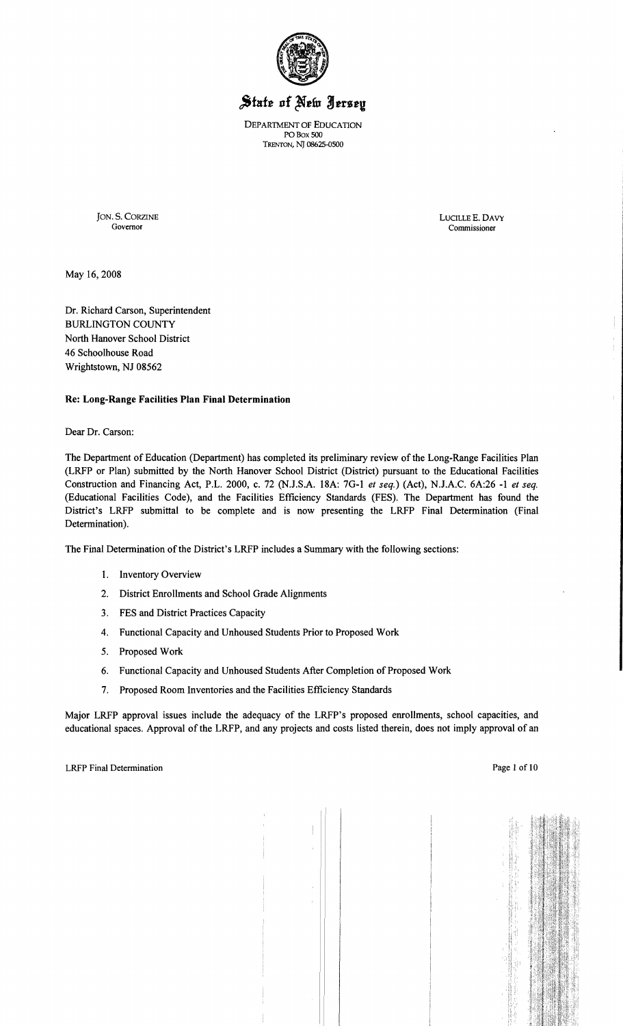

# State of New Jersey

DEPARTMENT OF EDUCATION POBox 500 TRENTON, NJ 08625-0500

JON. S. CORZINE LUCILLEE. DAVY

Commissioner

May 16,2008

Dr. Richard Carson, Superintendent BURLINGTON COUNTY North Hanover School District 46 Schoolhouse Road Wrightstown, NJ 08562

## Re: Long-Range Facilities Plan Final Determination

Dear Dr. Carson:

The Department of Education (Department) has completed its preliminary review of the Long-Range Facilities Plan (LRFP or Plan) submitted by the North Hanover School District (District) pursuant to the Educational Facilities Construction and Financing Act, P.L. 2000, c. 72 (NJ.S.A. 18A: 7G-I *et seq.)* (Act), NJ.A.C. 6A:26 -I *et seq.*  (Educational Facilities Code), and the Facilities Efficiency Standards (FES). The Department has found the District's LRFP submittal to be complete and is now presenting the LRFP Final Determination (Final Determination).

The Final Determination of the District's LRFP includes a Summary with the following sections:

- I. Inventory Overview
- 2. District Enrollments and School Grade Alignments
- 3. FES and District Practices Capacity
- 4. Functional Capacity and Unhoused Students Prior to Proposed Work
- 5. Proposed Work
- 6. Functional Capacity and Unhoused Students After Completion of Proposed Work
- 7. Proposed Room Inventories and the Facilities Efficiency Standards

Major LRFP approval issues include the adequacy of the LRFP's proposed enrollments, school capacities, and educational spaces. Approval of the LRFP, and any projects and costs listed therein, does not imply approval of an Ŧ.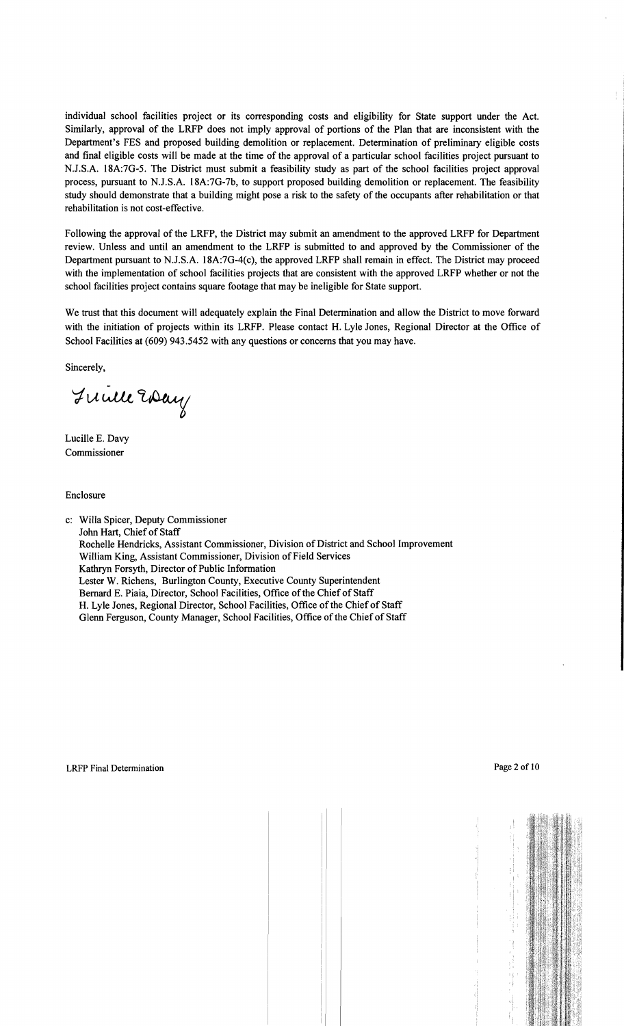individual school facilities project or its corresponding costs and eligibility for State support under the Act. Similarly, approval of the LRFP does not imply approval of portions of the Plan that are inconsistent with the Department's FES and proposed building demolition or replacement. Determination of preliminary eligible costs and final eligible costs will be made at the time of the approval of a particular school facilities project pursuant to NJ.S.A. 18A:7G-5. The District must submit a feasibility study as part of the school facilities project approval process, pursuant to NJ.S.A. 18A:7G-7b, to support proposed building demolition or replacement. The feasibility study should demonstrate that a building might pose a risk to the safety of the occupants after rehabilitation or that rehabilitation is not cost-effective.

Following the approval of the LRFP, the District may submit an amendment to the approved LRFP for Department review. Unless and until an amendment to the LRFP is submitted to and approved by the Commissioner of the Department pursuant to N.J.S.A. 18A:7G-4(c), the approved LRFP shall remain in effect. The District may proceed with the implementation of school facilities projects that are consistent with the approved LRFP whether or not the school facilities project contains square footage that may be ineligible for State support.

We trust that this document will adequately explain the Final Determination and allow the District to move forward with the initiation of projects within its LRFP. Please contact H. Lyle Jones, Regional Director at the Office of School Facilities at (609) 943.5452 with any questions or concerns that you may have.

Sincerely,

Fuille Eday

Lucille E. Davy Commissioner

Enclosure

c: Willa Spicer, Deputy Commissioner John Hart, Chief of Staff Rochelle Hendricks, Assistant Commissioner, Division of District and School Improvement William King, Assistant Commissioner, Division of Field Services Kathryn Forsyth, Director of Public Information Lester W. Richens, Burlington County, Executive County Superintendent Bernard E. Piaia, Director, School Facilities, Office of the Chief of Staff H. Lyle Jones, Regional Director, School Facilities, Office of the Chief of Staff Glenn Ferguson, County Manager, School Facilities, Office of the Chief of Staff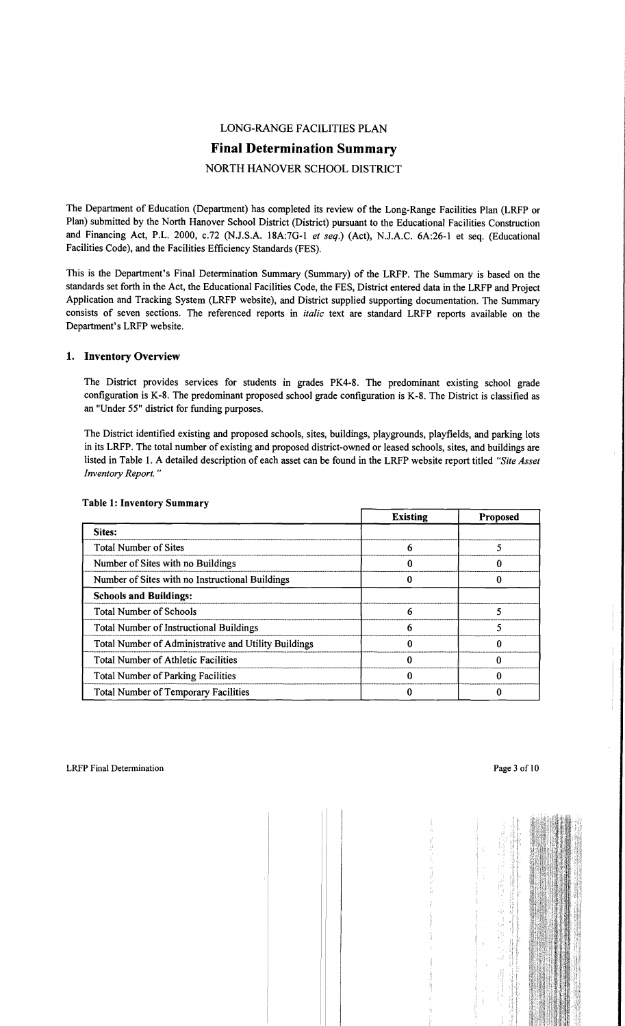# LONG-RANGE FACILITIES PLAN Final Determination Summary NORTH HANOVER SCHOOL DISTRICT

The Department of Education (Department) has completed its review of the Long-Range Facilities Plan (LRFP or Plan) submitted by the North Hanover School District (District) pursuant to the Educational Facilities Construction and Financing Act, P.L. 2000, c.72 (NJ.S.A. 18A:7G-I *et seq.)* (Act), NJ.A.C. 6A:26-1 et seq. (Educational Facilities Code), and the Facilities Efficiency Standards (FES).

This is the Department's Final Determination Summary (Summary) of the LRFP. The Summary is based on the standards set forth in the Act, the Educational Facilities Code, the FES, District entered data in the LRFP and Project Application and Tracking System (LRFP website), and District supplied supporting documentation. The Summary consists of seven sections. The referenced reports in *italic* text are standard LRFP reports available on the Department's LRFP website.

## 1. Inventory Overview

The District provides services for students in grades PK4-8. The predominant existing school grade configuration is K-8. The predominant proposed school grade configuration is K-8. The District is classified as an "Under 55" district for funding purposes.

The District identified existing and proposed schools, sites, buildings, playgrounds, playfields, and parking lots in its LRFP. The total number of existing and proposed district-owned or leased schools, sites, and buildings are listed in Table I. A detailed description of each asset can be found in the LRFP website report titled *"Site Asset Inventory Report."* 

|                                                      | <b>Existing</b> | <b>Proposed</b> |
|------------------------------------------------------|-----------------|-----------------|
| Sites:                                               |                 |                 |
| <b>Total Number of Sites</b>                         | n               |                 |
| Number of Sites with no Buildings                    |                 |                 |
| Number of Sites with no Instructional Buildings      |                 |                 |
| <b>Schools and Buildings:</b>                        |                 |                 |
| <b>Total Number of Schools</b>                       | 6               |                 |
| <b>Total Number of Instructional Buildings</b>       |                 |                 |
| Total Number of Administrative and Utility Buildings |                 |                 |
| <b>Total Number of Athletic Facilities</b>           |                 |                 |
| <b>Total Number of Parking Facilities</b>            |                 |                 |
| <b>Total Number of Temporary Facilities</b>          |                 |                 |

#### Table 1: Inventory Summary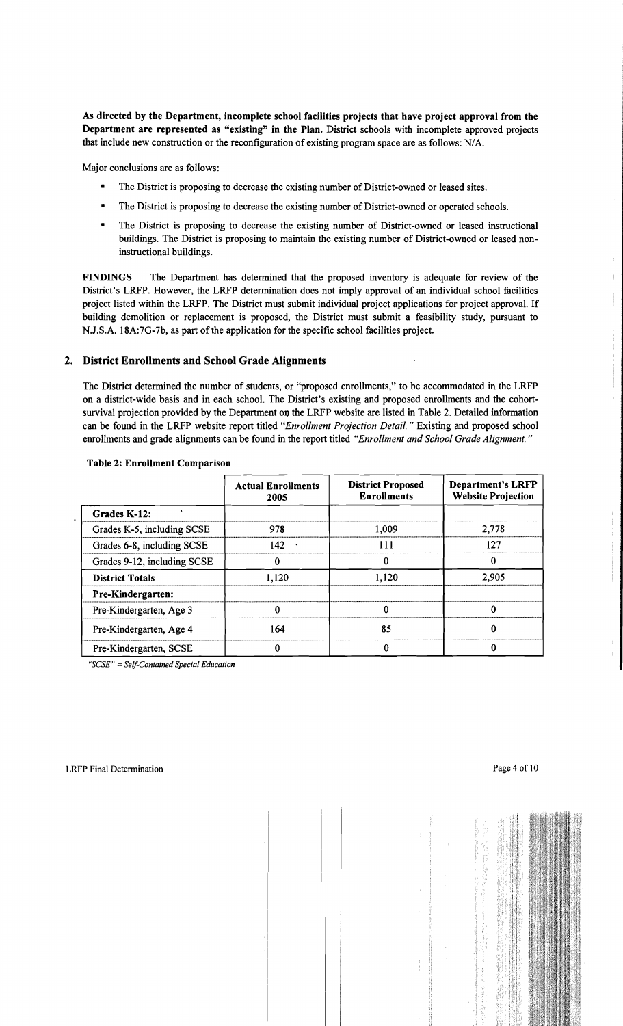As directed by the Department, incomplete school facilities projects that have project approval from the Department are represented as "existing" in the Plan. District schools with incomplete approved projects that include new construction or the reconfiguration of existing program space are as follows: N/A.

Major conclusions are as follows:

- The District is proposing to decrease the existing number of District-owned or leased sites.
- The District is proposing to decrease the existing number of District-owned or operated schools.
- The District is proposing to decrease the existing number of District-owned or leased instructional buildings. The District is proposing to maintain the existing number of District-owned or leased noninstructional buildings.

FINDINGS The Department has determined that the proposed inventory is adequate for review of the District's LRFP. However, the LRFP determination does not imply approval of an individual school facilities project listed within the LRFP. The District must submit individual project applications for project approval. If building demolition or replacement is proposed, the District must submit a feasibility study, pursuant to N.J.S.A. 18A:7G-7b, as part of the application for the specific school facilities project.

# 2. District Enrollments and School Grade Alignments

The District determined the number of students, or "proposed enrollments," to be accommodated in the LRFP on a district-wide basis and in each school. The District's existing and proposed enrollments and the cohortsurvival projection provided by the Department on the LRFP website are listed in Table 2. Detailed information can be found in the LRFP website report titled *"Enrollment Projection Detail.* " Existing and proposed school enrollments and grade alignments can be found in the report titled *"Enrollment and School Grade Alignment. "* 

|                                | <b>Actual Enrollments</b><br>2005 | <b>District Proposed</b><br><b>Enrollments</b> | <b>Department's LRFP</b><br><b>Website Projection</b> |
|--------------------------------|-----------------------------------|------------------------------------------------|-------------------------------------------------------|
| Grades K-12:                   |                                   |                                                |                                                       |
| Grades K-5, including SCSE     | 978                               | 1,009                                          | 2,778                                                 |
| Grades 6-8, including SCSE     | 142                               | 111                                            | 127                                                   |
| Grades 9-12, including SCSE    |                                   |                                                | 0                                                     |
| <b>District Totals</b>         | 1,120                             | 1,120                                          | 2,905                                                 |
| <b>Pre-Kindergarten:</b>       |                                   |                                                |                                                       |
| Pre-Kindergarten, Age 3        |                                   |                                                | 0                                                     |
| 164<br>Pre-Kindergarten, Age 4 |                                   | 85                                             | 0                                                     |
| Pre-Kindergarten, SCSE         |                                   |                                                |                                                       |

#### Table 2: Enrollment Comparison

*"SCSE"* = *Self-Contained Special Education* 

 $\mathbf{L}$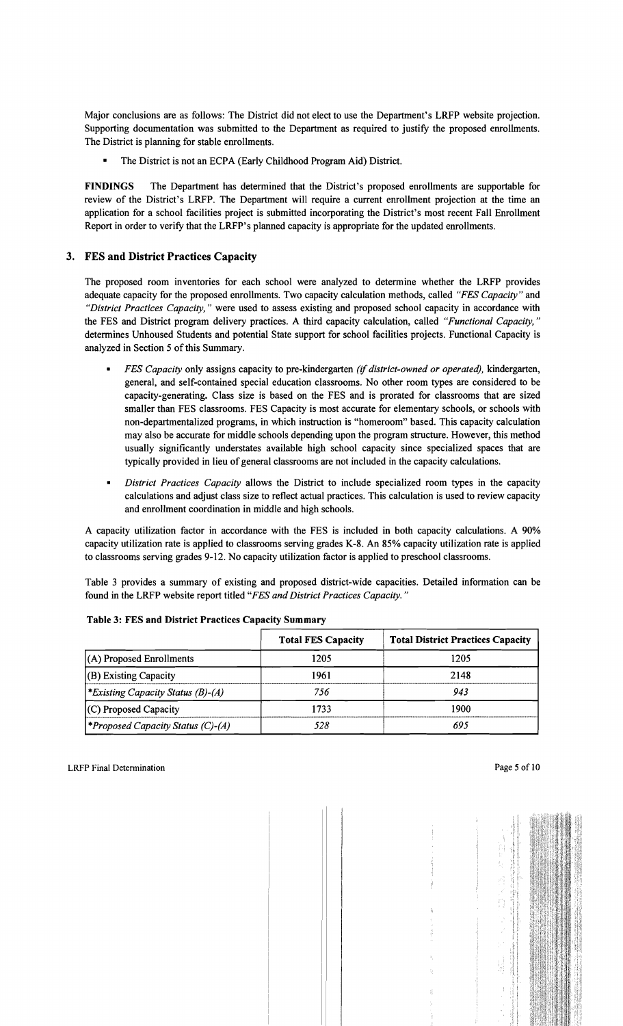Major conclusions are as follows: The District did not elect to use the Department's LRFP website projection. Supporting documentation was submitted to the Department as required to justify the proposed enrollments. The District is planning for stable enrollments.

The District is not an ECPA (Early Childhood Program Aid) District.

FINDINGS The Department has determined that the District's proposed enrollments are supportable for review of the District's LRFP. The Department will require a current enrollment projection at the time an application for a school facilities project is submitted incorporating the District's most recent Fall Enrollment Report in order to verify that the LRFP's planned capacity is appropriate for the updated enrollments.

# 3. FES and District Practices Capacity

The proposed room inventories for each school were analyzed to determine whether the LRFP provides adequate capacity for the proposed enrollments. Two capacity calculation methods, called *"FES Capacity"* and *"District Practices Capacity,* " were used to assess existing and proposed school capacity in accordance with the FES and District program delivery practices. A third capacity calculation, called *"Functional Capacity, "*  determines Unhoused Students and potential State support for school facilities projects. Functional Capacity is analyzed in Section 5 of this Summary.

- *FES Capacity* only assigns capacity to pre-kindergarten *(if district-owned or operated)*, kindergarten, general, and self-contained special education classrooms. No other room types are considered to be capacity-generating. Class size is based on the FES and is prorated for classrooms that are sized smaller than FES classrooms. FES Capacity is most accurate for elementary schools, or schools with non-departmentalized programs, in which instruction is "homeroom" based. This capacity calculation may also be accurate for middle schools depending upon the program structure. However, this method usually significantly understates available high school capacity since specialized spaces that are typically provided in lieu of general classrooms are not included in the capacity calculations.
- *District Practices Capacity allows the District to include specialized room types in the capacity* calculations and adjust class size to reflect actual practices. This calculation is used to review capacity and enrollment coordination in middle and high schools.

A capacity utilization factor in accordance with the FES is included in both capacity calculations. A 90% capacity utilization rate is applied to classrooms serving grades K-8. An 85% capacity utilization rate is applied to classrooms serving grades 9-12. No capacity utilization factor is applied to preschool classrooms.

Table 3 provides a summary of existing and proposed district-wide capacities. Detailed information can be found in the LRFP website report titled *"FES and District Practices Capacity. "* 

|                                          | <b>Total FES Capacity</b> | <b>Total District Practices Capacity</b> |
|------------------------------------------|---------------------------|------------------------------------------|
| $(A)$ Proposed Enrollments               | 1205                      | 1205                                     |
| $ $ (B) Existing Capacity                | 1961                      | 2148                                     |
| *Existing Capacity Status (B)-(A)        | 756                       | 943                                      |
| (C) Proposed Capacity                    | 1733                      | 1900                                     |
| <i>*Proposed Capacity Status (C)-(A)</i> | 528                       | 695                                      |

## Table 3: FES and District Practices Capacity Summary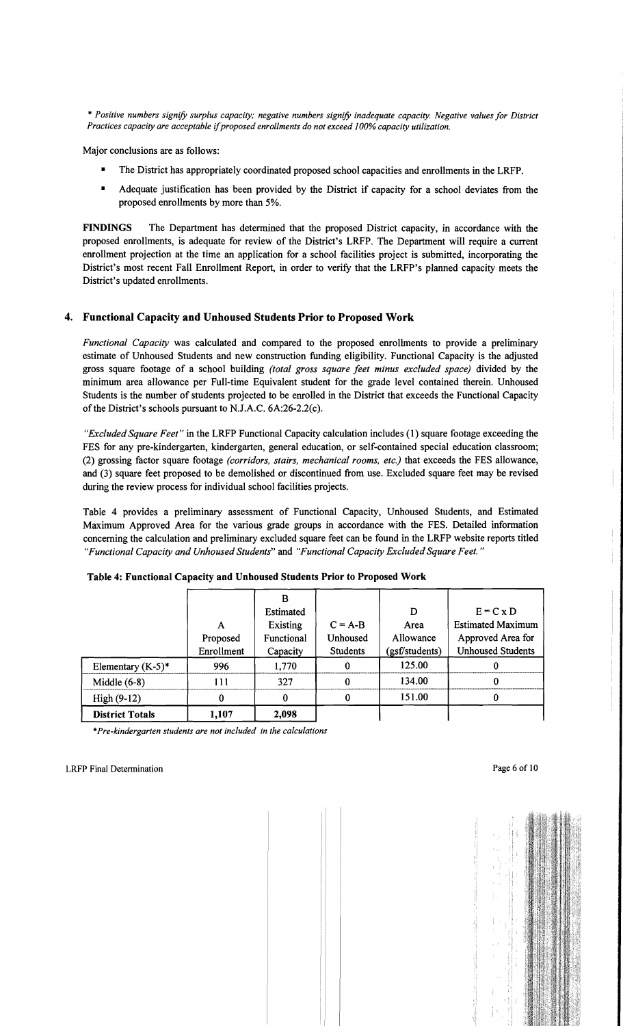\* *Positive numbers signify surplus capacity; negative numbers signify inadequate capacity. Negative values for District Practices capacity are acceptable* if*proposed enrollments do not exceed 100% capacity utilization.* 

Major conclusions are as follows:

- The District has appropriately coordinated proposed school capacities and enrollments in the LRFP.
- Adequate justification has been provided by the District if capacity for a school deviates from the proposed enrollments by more than 5%.

FINDINGS The Department has determined that the proposed District capacity, in accordance with the proposed enrollments, is adequate for review of the District's LRFP. The Department will require a current enrollment projection at the time an application for a school facilities project is submitted, incorporating the District's most recent Fall Enrollment Report, in order to verify that the LRFP's planned capacity meets the District's updated enrollments.

# 4. Functional Capacity and Unhoused Students Prior to Proposed Work

*Functional Capacity* was calculated and compared to the proposed enrollments to provide a preliminary estimate of Unhoused Students and new construction funding eligibility. Functional Capacity is the adjusted gross square footage of a school building *(total gross square feet minus excluded space)* divided by the minimum area allowance per Full-time Equivalent student for the grade level contained therein. Unhoused Students is the number of students projected to be enrolled in the District that exceeds the Functional Capacity of the District's schools pursuant to N.J.A.C.  $6A:26-2.2(c)$ .

*"Excluded Square Feet"* in the LRFP Functional Capacity calculation includes (1) square footage exceeding the FES for any pre-kindergarten, kindergarten, general education, or self-contained special education classroom; (2) grossing factor square footage *(corridors, stairs, mechanical rooms, etc.)* that exceeds the FES allowance, and (3) square feet proposed to be demolished or discontinued from use. Excluded square feet may be revised during the review process for individual school facilities projects.

Table 4 provides a preliminary assessment of Functional Capacity, Unhoused Students, and Estimated Maximum Approved Area for the various grade groups in accordance with the FES. Detailed information concerning the calculation and preliminary excluded square feet can be found in the LRFP website reports titled *"Functional Capacity and Unhoused Students"* and *"Functional Capacity Excluded Square Feet. "* 

| <b>District Totals</b> | 1.107                       | 2,098                                           |                                          |                                          |                                                                                          |
|------------------------|-----------------------------|-------------------------------------------------|------------------------------------------|------------------------------------------|------------------------------------------------------------------------------------------|
| High $(9-12)$          |                             | 0                                               | 0                                        | 151.00                                   |                                                                                          |
| Middle $(6-8)$         | 111                         | 327                                             | 0                                        | 134.00                                   |                                                                                          |
| Elementary $(K-5)^*$   | 996                         | 1,770                                           | 0                                        | 125.00                                   |                                                                                          |
|                        | А<br>Proposed<br>Enrollment | Estimated<br>Existing<br>Functional<br>Capacity | $C = A-B$<br>Unhoused<br><b>Students</b> | D<br>Area<br>Allowance<br>(gsf/students) | $E = C x D$<br><b>Estimated Maximum</b><br>Approved Area for<br><b>Unhoused Students</b> |
|                        |                             | B                                               |                                          |                                          |                                                                                          |

|  |  | Table 4: Functional Capacity and Unhoused Students Prior to Proposed Work |
|--|--|---------------------------------------------------------------------------|
|  |  |                                                                           |

*•Pre-kindergarten students are not included in the calculations* 

 $\overline{1}$  $\frac{1}{1}$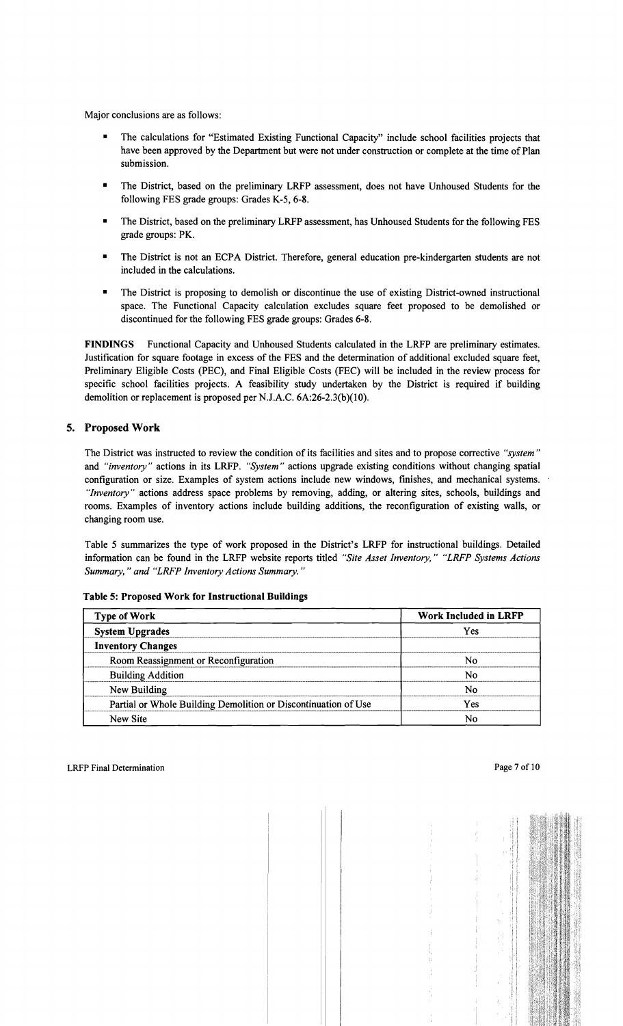Major conclusions are as follows:

- The calculations for "Estimated Existing Functional Capacity" include school facilities projects that have been approved by the Department but were not under construction or complete at the time of Plan submission.
- The District, based on the preliminary LRFP assessment, does not have Unhoused Students for the following FES grade groups: Grades K-5, 6-8.
- The District, based on the preliminary LRFP assessment, has Unhoused Students for the following FES grade groups: PK.
- The District is not an ECPA District. Therefore, general education pre-kindergarten students are not included in the calculations.
- The District is proposing to demolish or discontinue the use of existing District-owned instructional space. The Functional Capacity calculation excludes square feet proposed to be demolished or discontinued for the following FES grade groups: Grades 6-8.

FINDINGS Functional Capacity and Unhoused Students calculated in the LRFP are preliminary estimates. Justification for square footage in excess of the FES and the determination of additional excluded square feet, Preliminary Eligible Costs (PEC), and Final Eligible Costs (FEC) will be included in the review process for specific school facilities projects. A feasibility study undertaken by the District is required if building demolition or replacement is proposed per N.J.A.C. 6A:26-2.3(b)(10).

## 5. Proposed Work

The District was instructed to review the condition of its facilities and sites and to propose corrective *"system"*  and *"inventory"* actions in its LRFP. *"System"* actions upgrade existing conditions without changing spatial configuration or size. Examples of system actions include new windows, finishes, and mechanical systems. *"Inventory"* actions address space problems by removing, adding, or altering sites, schools, buildings and rooms. Examples of inventory actions include building additions, the reconfiguration of existing walls, or changing room use.

Table 5 summarizes the type of work proposed in the District's LRFP for instructional buildings. Detailed information can be found in the LRFP website reports titled *"Site Asset Inventory," "LRFP Systems Actions Summary,* " *and "LRFP Inventory Actions Summary. "* 

| <b>Type of Work</b>                                            | <b>Work Included in LRFP</b> |  |  |
|----------------------------------------------------------------|------------------------------|--|--|
| <b>System Upgrades</b>                                         | Yes                          |  |  |
| <b>Inventory Changes</b>                                       |                              |  |  |
| Room Reassignment or Reconfiguration                           |                              |  |  |
| <b>Building Addition</b>                                       | Ν٥                           |  |  |
| New Building                                                   | N٥                           |  |  |
| Partial or Whole Building Demolition or Discontinuation of Use | Yes                          |  |  |
| New Site                                                       |                              |  |  |

Table 5: Proposed Work for Instructional Buildings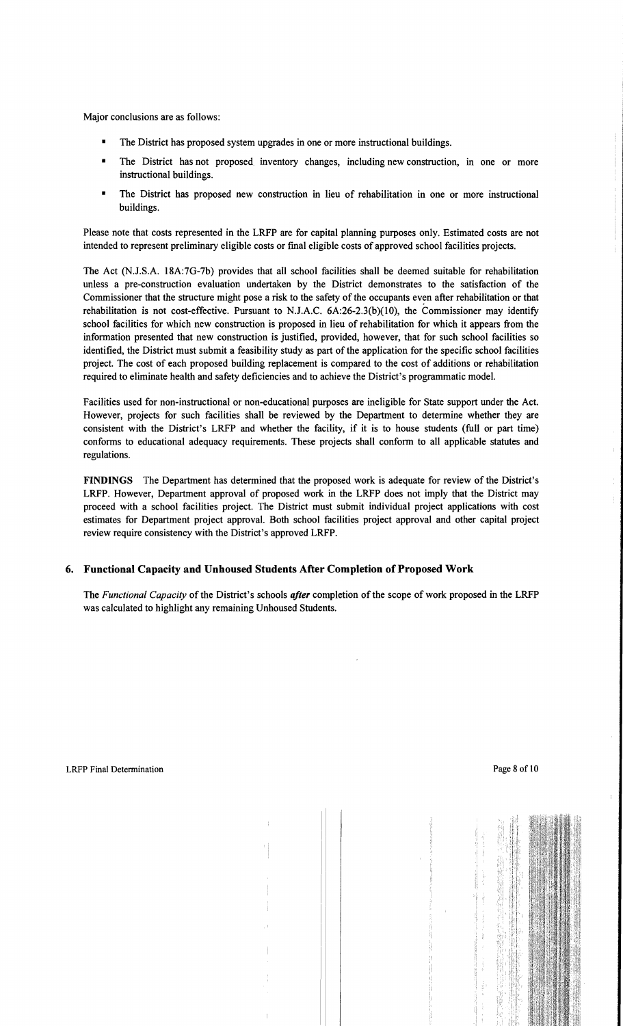Major conclusions are as follows:

- The District has proposed system upgrades in one or more instructional buildings.
- The District has not proposed inventory changes, including new construction, in one or more instructional buildings.
- The District has proposed new construction in lieu of rehabilitation in one or more instructional buildings.

Please note that costs represented in the LRFP are for capital planning purposes only. Estimated costs are not intended to represent preliminary eligible costs or fmal eligible costs of approved school facilities projects.

The Act (NJ.S.A. 18A:7G-7b) provides that all school facilities shall be deemed suitable for rehabilitation unless a pre-construction evaluation undertaken by the District demonstrates to the satisfaction of the Commissioner that the structure might pose a risk to the safety of the occupants even after rehabilitation or that rehabilitation is not cost-effective. Pursuant to N.J.A.C.  $6A:26-2.3(b)(10)$ , the Commissioner may identify school facilities for which new construction is proposed in lieu of rehabilitation for which it appears from the infonnation presented that new construction is justified, provided, however, that for such school facilities so identified, the District must submit a feasibility study as part of the application for the specific school facilities project. The cost of each proposed building replacement is compared to the cost of additions or rehabilitation required to eliminate health and safety deficiencies and to achieve the District's programmatic model.

Facilities used for non-instructional or non-educational purposes are ineligible for State support under the Act. However, projects for such facilities shall be reviewed by the Department to detennine whether they are consistent with the District's LRFP and whether the facility, if it is to house students (full or part time) confonns to educational adequacy requirements. These projects shall confonn to all applicable statutes and regulations.

**FINDINGS** The Department has determined that the proposed work is adequate for review of the District's LRFP. However, Department approval of proposed work in the LRFP does not imply that the District may proceed with a school facilities project. The District must submit individual project applications with cost estimates for Department project approval. Both school facilities project approval and other capital project review require consistency with the District's approved LRFP.

# **6. Functional Capacity and Unhoused Students After Completion** of Proposed **Work**

The *Functional Capacity* of the District's schools *after* completion of the scope of work proposed in the LRFP was calculated to highlight any remaining Unhoused Students.

 $\bar{1}$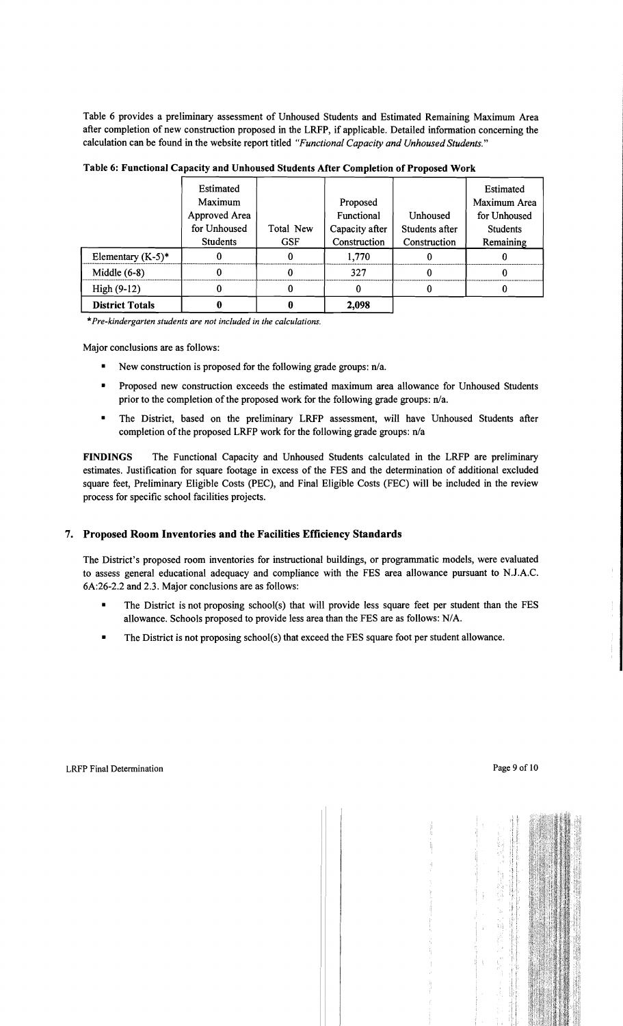Table 6 provides a preliminary assessment of Unhoused Students and Estimated Remaining Maximum Area after completion of new construction proposed in the LRFP, if applicable. Detailed information concerning the calculation can be found in the website report titled *"Functional Capacity and Unhoused Students."* 

|                        | Estimated       |            |                |                | Estimated       |
|------------------------|-----------------|------------|----------------|----------------|-----------------|
|                        | Maximum         |            | Proposed       |                | Maximum Area    |
|                        | Approved Area   |            | Functional     | Unhoused       | for Unhoused    |
|                        | for Unhoused    | Total New  | Capacity after | Students after | <b>Students</b> |
|                        | <b>Students</b> | <b>GSF</b> | Construction   | Construction   | Remaining       |
| Elementary $(K-5)^*$   |                 |            | 1,770          |                |                 |
| Middle $(6-8)$         |                 |            | 327            |                |                 |
| High $(9-12)$          |                 |            |                |                |                 |
| <b>District Totals</b> |                 |            | 2,098          |                |                 |

Table 6: Functional Capacity and Unhoused Students After Completion of Proposed Work

\**Pre-kindergarten students are not included in the calculations.* 

Major conclusions are as follows:

- New construction is proposed for the following grade groups:  $n/a$ .
- Proposed new construction exceeds the estimated maximum area allowance for Unhoused Students prior to the completion of the proposed work for the following grade groups: n/a.
- The District, based on the preliminary LRFP assessment, will have Unhoused Students after completion of the proposed LRFP work for the following grade groups: n/a

FINDINGS The Functional Capacity and Unhoused Students calculated in the LRFP are preliminary estimates. Justification for square footage in excess of the FES and the determination of additional excluded square feet, Preliminary Eligible Costs (PEC), and Final Eligible Costs (FEC) will be included in the review process for specific school facilities projects.

## 7. Proposed Room Inventories and the Facilities Efficiency Standards

The District's proposed room inventories for instructional buildings, or programmatic models, were evaluated to assess general educational adequacy and compliance with the FES area allowance pursuant to NJ.A.C. 6A:26-2.2 and 2.3. Major conclusions are as follows:

- The District is not proposing school(s) that will provide less square feet per student than the FES allowance. Schools proposed to provide less area than the FES are as follows: N/A.
- The District is not proposing school(s) that exceed the FES square foot per student allowance.